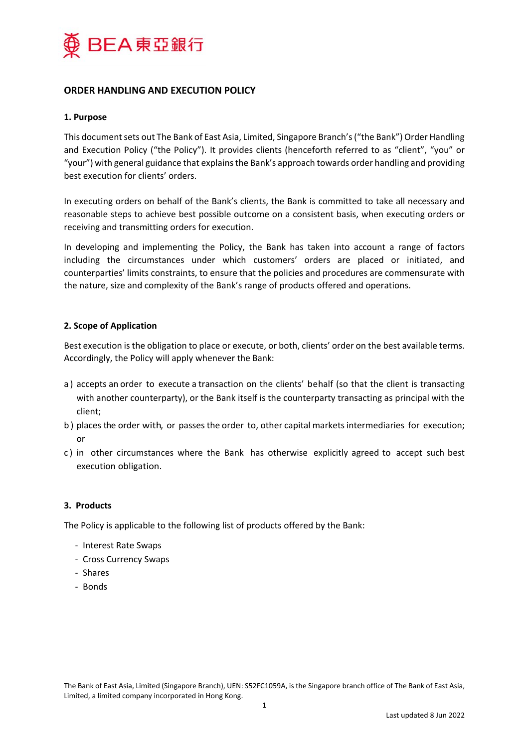

# **ORDER HANDLING AND EXECUTION POLICY**

## **1. Purpose**

This document sets out The Bank of East Asia, Limited, Singapore Branch's ("the Bank") Order Handling and Execution Policy ("the Policy"). It provides clients (henceforth referred to as "client", "you" or "your") with general guidance that explains the Bank's approach towards order handling and providing best execution for clients' orders.

In executing orders on behalf of the Bank's clients, the Bank is committed to take all necessary and reasonable steps to achieve best possible outcome on a consistent basis, when executing orders or receiving and transmitting orders for execution.

In developing and implementing the Policy, the Bank has taken into account a range of factors including the circumstances under which customers' orders are placed or initiated, and counterparties' limits constraints, to ensure that the policies and procedures are commensurate with the nature, size and complexity of the Bank's range of products offered and operations.

## **2. Scope of Application**

Best execution is the obligation to place or execute, or both, clients' order on the best available terms. Accordingly, the Policy will apply whenever the Bank:

- a ) accepts an order to execute a transaction on the clients' behalf (so that the client is transacting with another counterparty), or the Bank itself is the counterparty transacting as principal with the client;
- b ) places the order with, or passes the order to, other capital markets intermediaries for execution; or
- c ) in other circumstances where the Bank has otherwise explicitly agreed to accept such best execution obligation.

## **3. Products**

The Policy is applicable to the following list of products offered by the Bank:

- ‐ Interest Rate Swaps
- ‐ Cross Currency Swaps
- ‐ Shares
- ‐ Bonds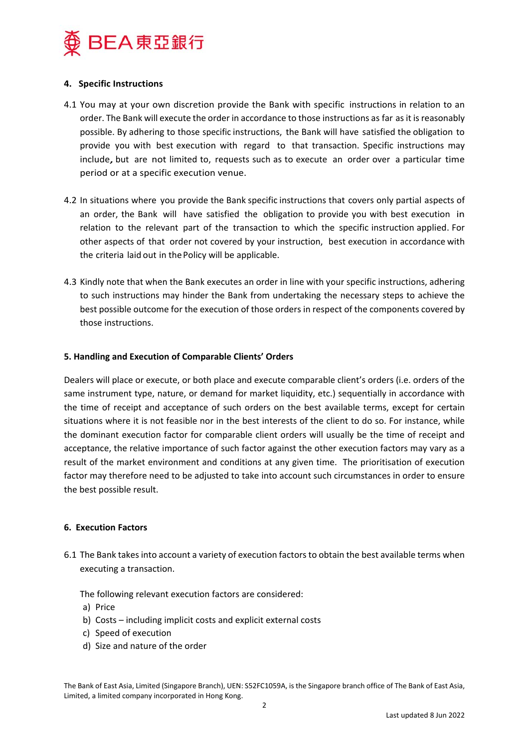

## **4. Specific Instructions**

- 4.1 You may at your own discretion provide the Bank with specific instructions in relation to an order. The Bank will execute the order in accordance to those instructions as far as it is reasonably possible. By adhering to those specific instructions, the Bank will have satisfied the obligation to provide you with best execution with regard to that transaction. Specific instructions may include, but are not limited to, requests such as to execute an order over a particular time period or at a specific execution venue.
- 4.2 In situations where you provide the Bank specific instructions that covers only partial aspects of an order, the Bank will have satisfied the obligation to provide you with best execution in relation to the relevant part of the transaction to which the specific instruction applied. For other aspects of that order not covered by your instruction, best execution in accordance with the criteria laid out in the Policy will be applicable.
- 4.3 Kindly note that when the Bank executes an order in line with your specific instructions, adhering to such instructions may hinder the Bank from undertaking the necessary steps to achieve the best possible outcome for the execution of those orders in respect of the components covered by those instructions.

## **5. Handling and Execution of Comparable Clients' Orders**

Dealers will place or execute, or both place and execute comparable client's orders (i.e. orders of the same instrument type, nature, or demand for market liquidity, etc.) sequentially in accordance with the time of receipt and acceptance of such orders on the best available terms, except for certain situations where it is not feasible nor in the best interests of the client to do so. For instance, while the dominant execution factor for comparable client orders will usually be the time of receipt and acceptance, the relative importance of such factor against the other execution factors may vary as a result of the market environment and conditions at any given time. The prioritisation of execution factor may therefore need to be adjusted to take into account such circumstances in order to ensure the best possible result.

## **6. Execution Factors**

6.1 The Bank takes into account a variety of execution factors to obtain the best available terms when executing a transaction.

The following relevant execution factors are considered:

- a) Price
- b) Costs including implicit costs and explicit external costs
- c) Speed of execution
- d) Size and nature of the order